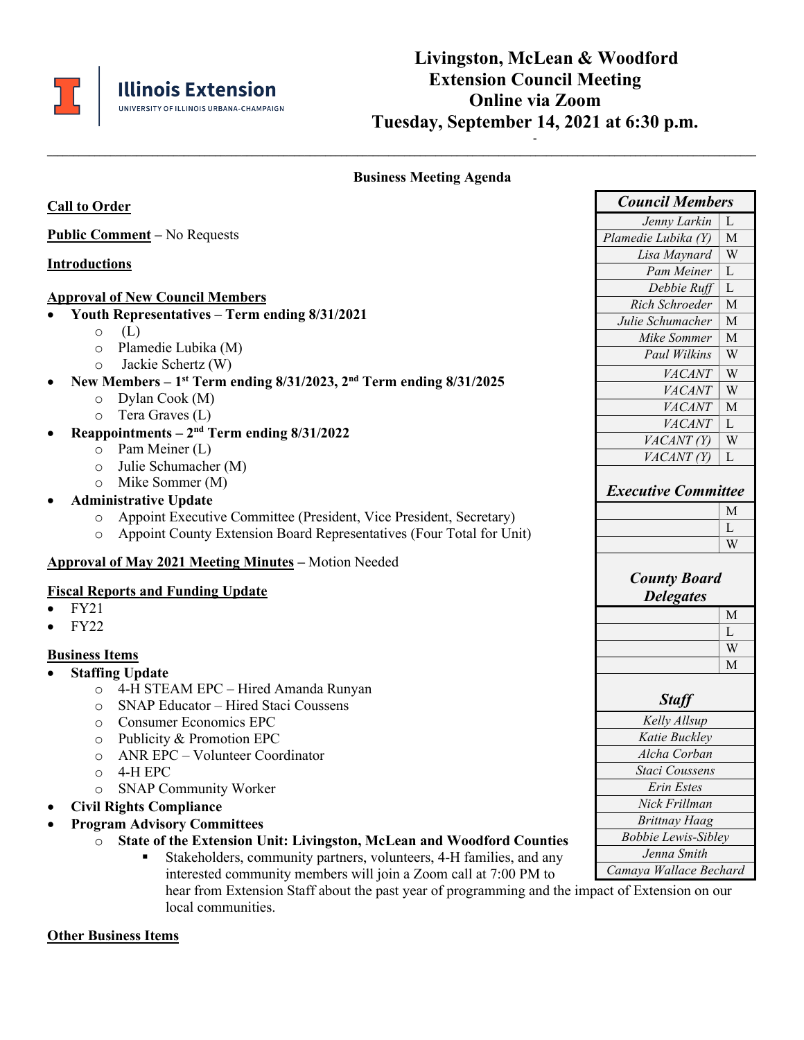

## **Business Meeting Agenda**

**\_\_\_\_\_\_\_\_\_\_\_\_\_\_\_\_\_\_\_\_\_\_\_\_\_\_\_\_\_\_\_\_\_\_\_\_\_\_\_\_\_\_\_\_\_\_\_\_\_\_\_\_\_\_\_\_\_\_\_\_\_\_\_\_\_\_\_\_\_\_\_\_\_\_\_\_\_\_\_\_\_\_\_\_\_\_\_\_\_\_\_\_\_\_\_\_\_\_\_\_\_\_\_\_\_\_\_\_\_\_\_\_\_\_\_\_\_\_\_\_\_\_\_\_\_\_\_\_\_\_\_\_\_\_\_**

| <b>Call to Order</b>                                                                                    | <b>Council Members</b>      |
|---------------------------------------------------------------------------------------------------------|-----------------------------|
|                                                                                                         | Jenny Larkin<br>L           |
| <b>Public Comment</b> – No Requests                                                                     | Plamedie Lubika (Y)<br>M    |
| <b>Introductions</b>                                                                                    | W<br>Lisa Maynard           |
|                                                                                                         | Pam Meiner<br>$\mathbf{L}$  |
| <b>Approval of New Council Members</b>                                                                  | $\mathbf{L}$<br>Debbie Ruff |
| Youth Representatives - Term ending 8/31/2021                                                           | Rich Schroeder<br>M         |
|                                                                                                         | Julie Schumacher<br>M       |
| (L)<br>$\circ$                                                                                          | Mike Sommer<br>M            |
| Plamedie Lubika (M)<br>$\circ$                                                                          | Paul Wilkins<br>W           |
| Jackie Schertz (W)<br>$\circ$                                                                           | VACANT<br>W                 |
| New Members – 1 <sup>st</sup> Term ending $8/31/2023$ , $2nd$ Term ending $8/31/2025$<br>Dylan Cook (M) | VACANT<br>W                 |
| $\circ$<br>Tera Graves (L)                                                                              | VACANT<br>M                 |
| $\circ$                                                                                                 | VACANT<br>L                 |
| Reappointments $-2nd$ Term ending $8/31/2022$                                                           | W<br>VACANT(Y)              |
| Pam Meiner (L)<br>$\circ$                                                                               | VACANT(Y)<br>L              |
| Julie Schumacher (M)<br>$\circ$                                                                         |                             |
| Mike Sommer (M)<br>$\circ$                                                                              | <b>Executive Committee</b>  |
| <b>Administrative Update</b>                                                                            | M                           |
| Appoint Executive Committee (President, Vice President, Secretary)<br>$\circ$                           | L                           |
| Appoint County Extension Board Representatives (Four Total for Unit)<br>$\circ$                         | W                           |
| Approval of May 2021 Meeting Minutes - Motion Needed                                                    |                             |
|                                                                                                         | <b>County Board</b>         |
| <b>Fiscal Reports and Funding Update</b>                                                                | <b>Delegates</b>            |
| FY21                                                                                                    | M                           |
| <b>FY22</b>                                                                                             | L                           |
|                                                                                                         | W                           |
| <b>Business Items</b>                                                                                   | M                           |
| <b>Staffing Update</b>                                                                                  |                             |
| 4-H STEAM EPC - Hired Amanda Runyan<br>$\circ$                                                          | <b>Staff</b>                |
| SNAP Educator - Hired Staci Coussens<br>$\circ$                                                         | Kelly Allsup                |
| <b>Consumer Economics EPC</b><br>$\circ$                                                                | Katie Buckley               |
| Publicity & Promotion EPC<br>$\circ$<br>ANR EPC - Volunteer Coordinator                                 | Alcha Corban                |
| $\circ$                                                                                                 | <b>Staci Coussens</b>       |
| 4-H EPC<br>O                                                                                            | Erin Estes                  |
| <b>SNAP Community Worker</b>                                                                            | Nick Frillman               |
| <b>Civil Rights Compliance</b>                                                                          | <b>Brittnay Haag</b>        |
| <b>Program Advisory Committees</b>                                                                      | <b>Bobbie Lewis-Sibley</b>  |
| State of the Extension Unit: Livingston, McLean and Woodford Counties<br>$\circ$                        | Jenna Smith                 |
| Stakeholders, community partners, volunteers, 4-H families, and any                                     | Camaya Wallace Bechard      |
| interested community members will join a Zoom call at 7:00 PM to                                        |                             |

hear from Extension Staff about the past year of programming and the impact of Extension on our local communities.

## **Other Business Items**